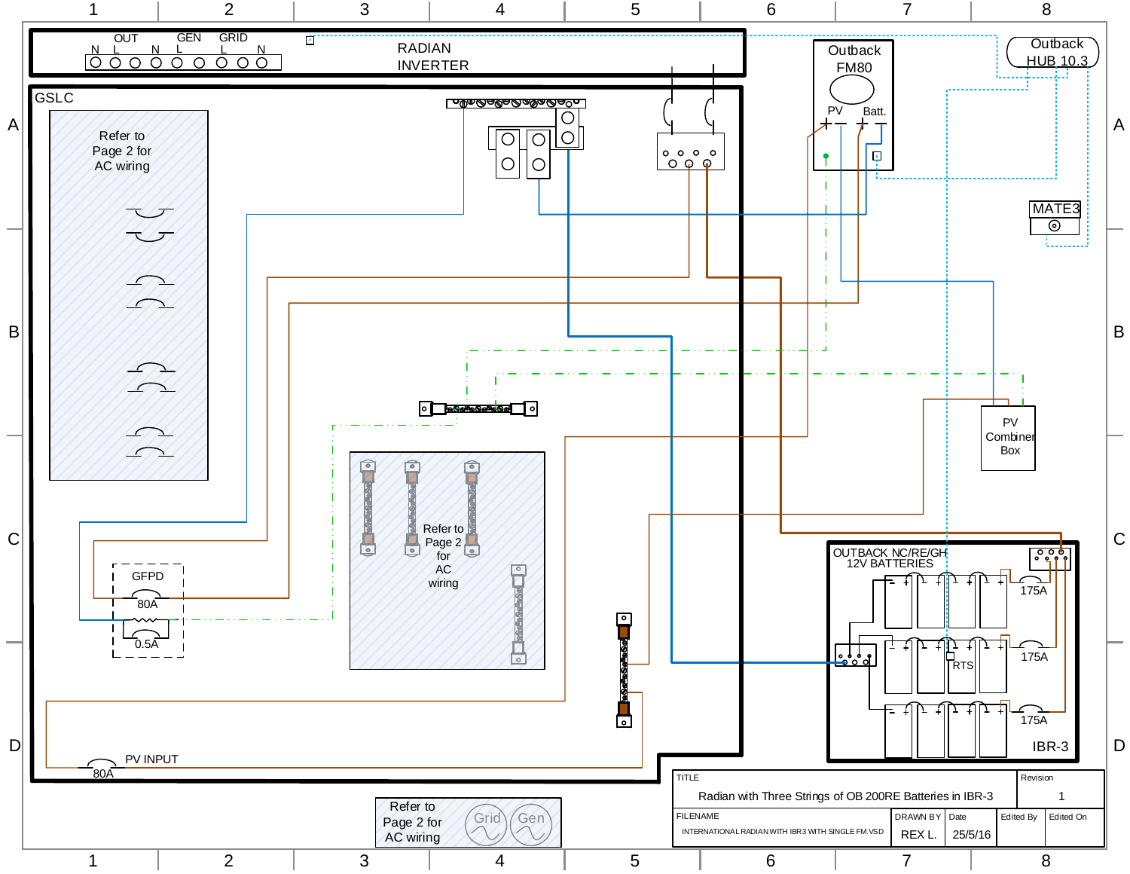